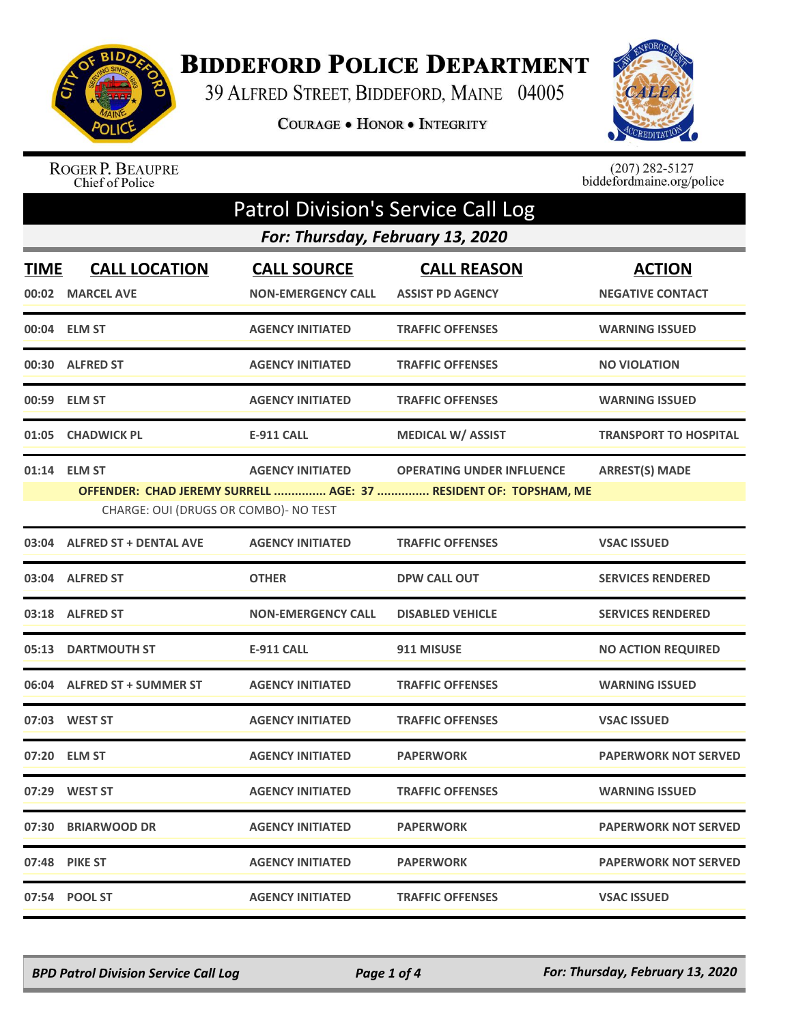

## **BIDDEFORD POLICE DEPARTMENT**

39 ALFRED STREET, BIDDEFORD, MAINE 04005

COURAGE . HONOR . INTEGRITY



ROGER P. BEAUPRE<br>Chief of Police

 $(207)$  282-5127<br>biddefordmaine.org/police

|      |                                       |                                  | <b>Patrol Division's Service Call Log</b>                        |                              |
|------|---------------------------------------|----------------------------------|------------------------------------------------------------------|------------------------------|
|      |                                       | For: Thursday, February 13, 2020 |                                                                  |                              |
| TIME | <b>CALL LOCATION</b>                  | <b>CALL SOURCE</b>               | <b>CALL REASON</b>                                               | <b>ACTION</b>                |
|      | 00:02 MARCEL AVE                      | <b>NON-EMERGENCY CALL</b>        | <b>ASSIST PD AGENCY</b>                                          | <b>NEGATIVE CONTACT</b>      |
|      | 00:04 ELM ST                          | <b>AGENCY INITIATED</b>          | <b>TRAFFIC OFFENSES</b>                                          | <b>WARNING ISSUED</b>        |
|      | 00:30 ALFRED ST                       | <b>AGENCY INITIATED</b>          | <b>TRAFFIC OFFENSES</b>                                          | <b>NO VIOLATION</b>          |
|      | 00:59 ELM ST                          | <b>AGENCY INITIATED</b>          | <b>TRAFFIC OFFENSES</b>                                          | <b>WARNING ISSUED</b>        |
|      | 01:05 CHADWICK PL                     | <b>E-911 CALL</b>                | <b>MEDICAL W/ ASSIST</b>                                         | <b>TRANSPORT TO HOSPITAL</b> |
|      | 01:14 ELM ST                          | <b>AGENCY INITIATED</b>          | <b>OPERATING UNDER INFLUENCE</b>                                 | <b>ARREST(S) MADE</b>        |
|      |                                       |                                  | OFFENDER: CHAD JEREMY SURRELL  AGE: 37  RESIDENT OF: TOPSHAM, ME |                              |
|      | CHARGE: OUI (DRUGS OR COMBO)- NO TEST |                                  |                                                                  |                              |
|      | 03:04 ALFRED ST + DENTAL AVE          | <b>AGENCY INITIATED</b>          | <b>TRAFFIC OFFENSES</b>                                          | <b>VSAC ISSUED</b>           |
|      | 03:04 ALFRED ST                       | <b>OTHER</b>                     | <b>DPW CALL OUT</b>                                              | <b>SERVICES RENDERED</b>     |
|      | 03:18 ALFRED ST                       | <b>NON-EMERGENCY CALL</b>        | <b>DISABLED VEHICLE</b>                                          | <b>SERVICES RENDERED</b>     |
|      | 05:13 DARTMOUTH ST                    | <b>E-911 CALL</b>                | 911 MISUSE                                                       | <b>NO ACTION REQUIRED</b>    |
|      | 06:04 ALFRED ST + SUMMER ST           | <b>AGENCY INITIATED</b>          | <b>TRAFFIC OFFENSES</b>                                          | <b>WARNING ISSUED</b>        |
|      | 07:03 WEST ST                         | <b>AGENCY INITIATED</b>          | <b>TRAFFIC OFFENSES</b>                                          | <b>VSAC ISSUED</b>           |
|      | 07:20 ELM ST                          | <b>AGENCY INITIATED</b>          | <b>PAPERWORK</b>                                                 | <b>PAPERWORK NOT SERVED</b>  |
|      | 07:29 WEST ST                         | <b>AGENCY INITIATED</b>          | <b>TRAFFIC OFFENSES</b>                                          | <b>WARNING ISSUED</b>        |
|      | 07:30 BRIARWOOD DR                    | <b>AGENCY INITIATED</b>          | <b>PAPERWORK</b>                                                 | <b>PAPERWORK NOT SERVED</b>  |
|      | 07:48 PIKE ST                         | <b>AGENCY INITIATED</b>          | <b>PAPERWORK</b>                                                 | <b>PAPERWORK NOT SERVED</b>  |
|      | 07:54 POOL ST                         | <b>AGENCY INITIATED</b>          | <b>TRAFFIC OFFENSES</b>                                          | <b>VSAC ISSUED</b>           |

*BPD Patrol Division Service Call Log Page 1 of 4 For: Thursday, February 13, 2020*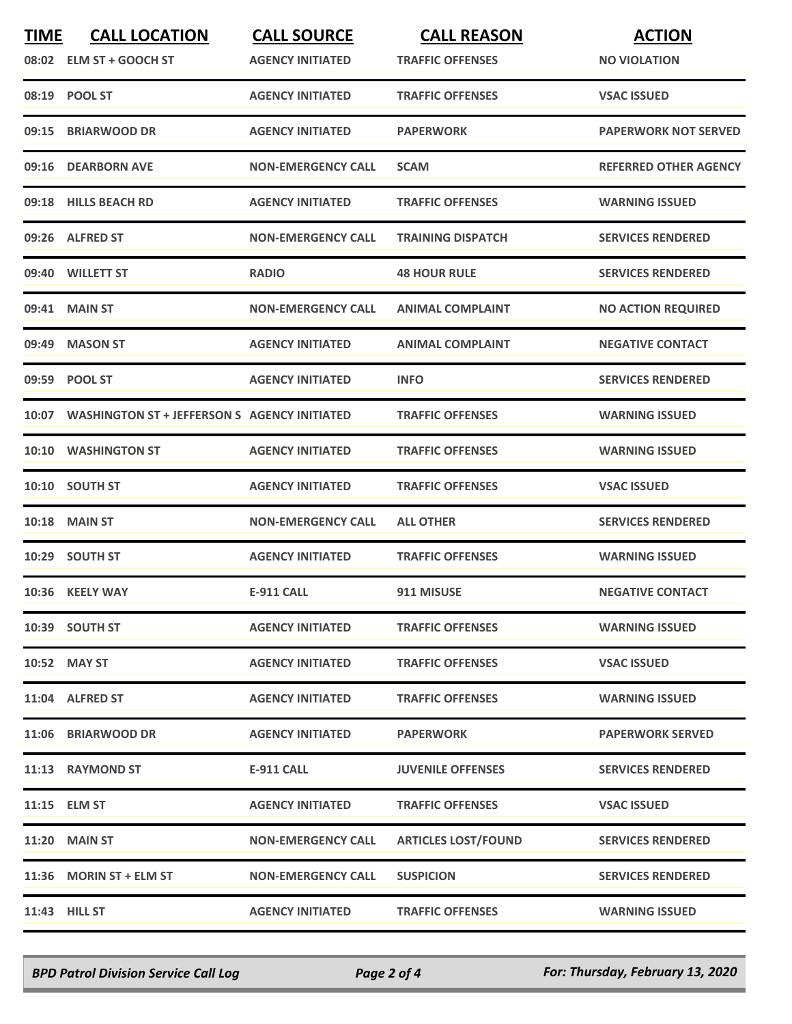| <b>TIME</b> | <b>CALL LOCATION</b><br>08:02 ELM ST + GOOCH ST    | <b>CALL SOURCE</b><br><b>AGENCY INITIATED</b> | <b>CALL REASON</b><br><b>TRAFFIC OFFENSES</b> | <b>ACTION</b><br><b>NO VIOLATION</b> |
|-------------|----------------------------------------------------|-----------------------------------------------|-----------------------------------------------|--------------------------------------|
|             | 08:19 POOL ST                                      | <b>AGENCY INITIATED</b>                       | <b>TRAFFIC OFFENSES</b>                       | <b>VSAC ISSUED</b>                   |
| 09:15       | <b>BRIARWOOD DR</b>                                | <b>AGENCY INITIATED</b>                       | <b>PAPERWORK</b>                              | <b>PAPERWORK NOT SERVED</b>          |
|             | 09:16 DEARBORN AVE                                 | <b>NON-EMERGENCY CALL</b>                     | <b>SCAM</b>                                   | <b>REFERRED OTHER AGENCY</b>         |
|             | 09:18 HILLS BEACH RD                               | <b>AGENCY INITIATED</b>                       | <b>TRAFFIC OFFENSES</b>                       | <b>WARNING ISSUED</b>                |
|             | 09:26 ALFRED ST                                    | <b>NON-EMERGENCY CALL</b>                     | <b>TRAINING DISPATCH</b>                      | <b>SERVICES RENDERED</b>             |
|             | 09:40 WILLETT ST                                   | <b>RADIO</b>                                  | <b>48 HOUR RULE</b>                           | <b>SERVICES RENDERED</b>             |
|             | 09:41 MAIN ST                                      | <b>NON-EMERGENCY CALL</b>                     | <b>ANIMAL COMPLAINT</b>                       | <b>NO ACTION REQUIRED</b>            |
| 09:49       | <b>MASON ST</b>                                    | <b>AGENCY INITIATED</b>                       | <b>ANIMAL COMPLAINT</b>                       | <b>NEGATIVE CONTACT</b>              |
|             | 09:59 POOL ST                                      | <b>AGENCY INITIATED</b>                       | <b>INFO</b>                                   | <b>SERVICES RENDERED</b>             |
|             | 10:07 WASHINGTON ST + JEFFERSON S AGENCY INITIATED |                                               | <b>TRAFFIC OFFENSES</b>                       | <b>WARNING ISSUED</b>                |
| 10:10       | <b>WASHINGTON ST</b>                               | <b>AGENCY INITIATED</b>                       | <b>TRAFFIC OFFENSES</b>                       | <b>WARNING ISSUED</b>                |
|             | 10:10 SOUTH ST                                     | <b>AGENCY INITIATED</b>                       | <b>TRAFFIC OFFENSES</b>                       | <b>VSAC ISSUED</b>                   |
|             | <b>10:18 MAIN ST</b>                               | <b>NON-EMERGENCY CALL</b>                     | <b>ALL OTHER</b>                              | <b>SERVICES RENDERED</b>             |
|             | 10:29 SOUTH ST                                     | <b>AGENCY INITIATED</b>                       | <b>TRAFFIC OFFENSES</b>                       | <b>WARNING ISSUED</b>                |
|             | 10:36 KEELY WAY                                    | <b>E-911 CALL</b>                             | 911 MISUSE                                    | <b>NEGATIVE CONTACT</b>              |
|             | 10:39 SOUTH ST                                     | <b>AGENCY INITIATED</b>                       | <b>TRAFFIC OFFENSES</b>                       | <b>WARNING ISSUED</b>                |
|             | 10:52 MAY ST                                       | <b>AGENCY INITIATED</b>                       | <b>TRAFFIC OFFENSES</b>                       | <b>VSAC ISSUED</b>                   |
|             | 11:04 ALFRED ST                                    | <b>AGENCY INITIATED</b>                       | <b>TRAFFIC OFFENSES</b>                       | <b>WARNING ISSUED</b>                |
|             | 11:06 BRIARWOOD DR                                 | <b>AGENCY INITIATED</b>                       | <b>PAPERWORK</b>                              | <b>PAPERWORK SERVED</b>              |
|             | 11:13 RAYMOND ST                                   | E-911 CALL                                    | <b>JUVENILE OFFENSES</b>                      | <b>SERVICES RENDERED</b>             |
|             | 11:15 ELM ST                                       | <b>AGENCY INITIATED</b>                       | <b>TRAFFIC OFFENSES</b>                       | <b>VSAC ISSUED</b>                   |
|             | <b>11:20 MAIN ST</b>                               | <b>NON-EMERGENCY CALL</b>                     | <b>ARTICLES LOST/FOUND</b>                    | <b>SERVICES RENDERED</b>             |
|             | 11:36 MORIN ST + ELM ST                            | <b>NON-EMERGENCY CALL</b>                     | <b>SUSPICION</b>                              | <b>SERVICES RENDERED</b>             |
|             | <b>11:43 HILL ST</b>                               | <b>AGENCY INITIATED</b>                       | <b>TRAFFIC OFFENSES</b>                       | <b>WARNING ISSUED</b>                |

*BPD Patrol Division Service Call Log Page 2 of 4 For: Thursday, February 13, 2020*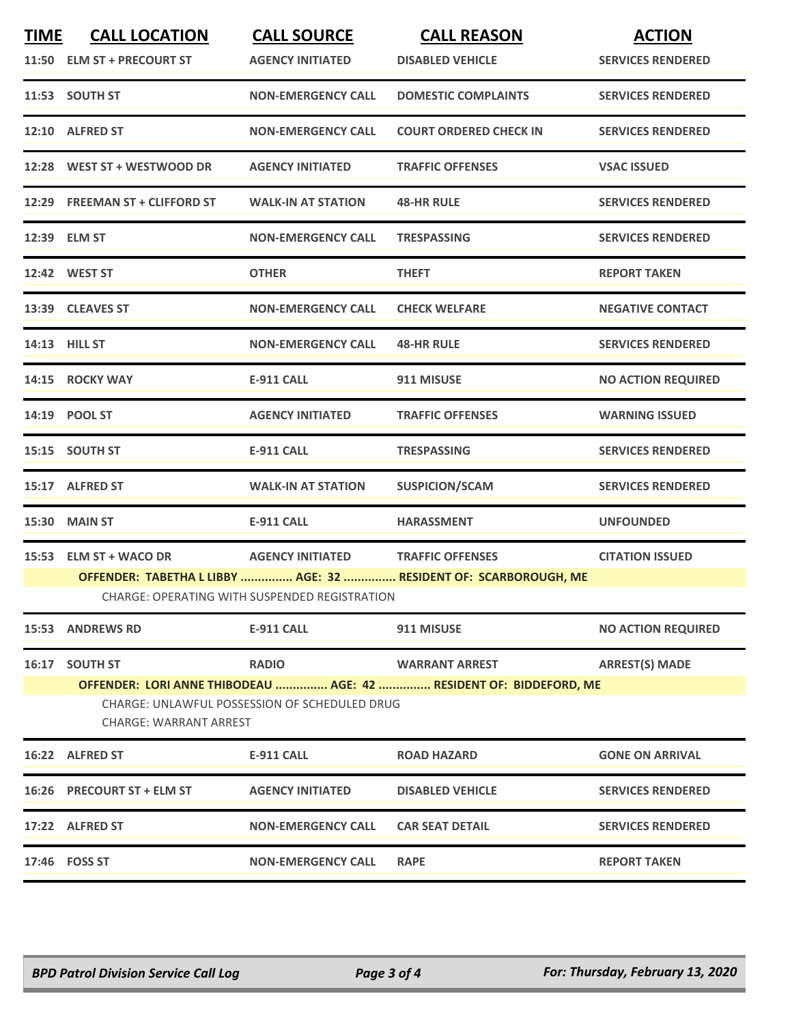| <b>TIME</b> | <b>CALL LOCATION</b><br>11:50 ELM ST + PRECOURT ST                             | <b>CALL SOURCE</b><br><b>AGENCY INITIATED</b> | <b>CALL REASON</b><br><b>DISABLED VEHICLE</b>                      | <b>ACTION</b><br><b>SERVICES RENDERED</b> |  |
|-------------|--------------------------------------------------------------------------------|-----------------------------------------------|--------------------------------------------------------------------|-------------------------------------------|--|
|             | 11:53 SOUTH ST                                                                 | <b>NON-EMERGENCY CALL</b>                     | <b>DOMESTIC COMPLAINTS</b>                                         | <b>SERVICES RENDERED</b>                  |  |
|             | 12:10 ALFRED ST                                                                | <b>NON-EMERGENCY CALL</b>                     | <b>COURT ORDERED CHECK IN</b>                                      | <b>SERVICES RENDERED</b>                  |  |
|             | 12:28 WEST ST + WESTWOOD DR                                                    | <b>AGENCY INITIATED</b>                       | <b>TRAFFIC OFFENSES</b>                                            | <b>VSAC ISSUED</b>                        |  |
|             | 12:29 FREEMAN ST + CLIFFORD ST                                                 | <b>WALK-IN AT STATION</b>                     | <b>48-HR RULE</b>                                                  | <b>SERVICES RENDERED</b>                  |  |
|             | 12:39 ELM ST                                                                   | <b>NON-EMERGENCY CALL</b>                     | <b>TRESPASSING</b>                                                 | <b>SERVICES RENDERED</b>                  |  |
|             | 12:42 WEST ST                                                                  | <b>OTHER</b>                                  | <b>THEFT</b>                                                       | <b>REPORT TAKEN</b>                       |  |
|             | 13:39 CLEAVES ST                                                               | <b>NON-EMERGENCY CALL</b>                     | <b>CHECK WELFARE</b>                                               | <b>NEGATIVE CONTACT</b>                   |  |
|             | 14:13 HILL ST                                                                  | <b>NON-EMERGENCY CALL</b>                     | <b>48-HR RULE</b>                                                  | <b>SERVICES RENDERED</b>                  |  |
|             | 14:15 ROCKY WAY                                                                | <b>E-911 CALL</b>                             | 911 MISUSE                                                         | <b>NO ACTION REQUIRED</b>                 |  |
|             | 14:19 POOL ST                                                                  | <b>AGENCY INITIATED</b>                       | <b>TRAFFIC OFFENSES</b>                                            | <b>WARNING ISSUED</b>                     |  |
|             | 15:15 SOUTH ST                                                                 | <b>E-911 CALL</b>                             | <b>TRESPASSING</b>                                                 | <b>SERVICES RENDERED</b>                  |  |
|             | 15:17 ALFRED ST                                                                | <b>WALK-IN AT STATION</b>                     | <b>SUSPICION/SCAM</b>                                              | <b>SERVICES RENDERED</b>                  |  |
|             | 15:30 MAIN ST                                                                  | <b>E-911 CALL</b>                             | <b>HARASSMENT</b>                                                  | <b>UNFOUNDED</b>                          |  |
|             | 15:53 ELM ST + WACO DR                                                         | <b>AGENCY INITIATED</b>                       | <b>TRAFFIC OFFENSES</b>                                            | <b>CITATION ISSUED</b>                    |  |
|             |                                                                                |                                               | OFFENDER: TABETHA L LIBBY  AGE: 32  RESIDENT OF: SCARBOROUGH, ME   |                                           |  |
|             |                                                                                | CHARGE: OPERATING WITH SUSPENDED REGISTRATION |                                                                    |                                           |  |
|             | 15:53 ANDREWS RD                                                               | <b>E-911 CALL</b>                             | 911 MISUSE                                                         | <b>NO ACTION REQUIRED</b>                 |  |
|             | 16:17 SOUTH ST                                                                 | <b>RADIO</b>                                  | <b>WARRANT ARREST</b>                                              | <b>ARREST(S) MADE</b>                     |  |
|             |                                                                                |                                               | OFFENDER: LORI ANNE THIBODEAU  AGE: 42  RESIDENT OF: BIDDEFORD, ME |                                           |  |
|             | CHARGE: UNLAWFUL POSSESSION OF SCHEDULED DRUG<br><b>CHARGE: WARRANT ARREST</b> |                                               |                                                                    |                                           |  |
|             | 16:22 ALFRED ST                                                                | <b>E-911 CALL</b>                             | <b>ROAD HAZARD</b>                                                 | <b>GONE ON ARRIVAL</b>                    |  |
|             | 16:26 PRECOURT ST + ELM ST                                                     | <b>AGENCY INITIATED</b>                       | <b>DISABLED VEHICLE</b>                                            | <b>SERVICES RENDERED</b>                  |  |
|             | 17:22 ALFRED ST                                                                | <b>NON-EMERGENCY CALL</b>                     | <b>CAR SEAT DETAIL</b>                                             | <b>SERVICES RENDERED</b>                  |  |
|             | 17:46 FOSS ST                                                                  | <b>NON-EMERGENCY CALL</b>                     | <b>RAPE</b>                                                        | <b>REPORT TAKEN</b>                       |  |